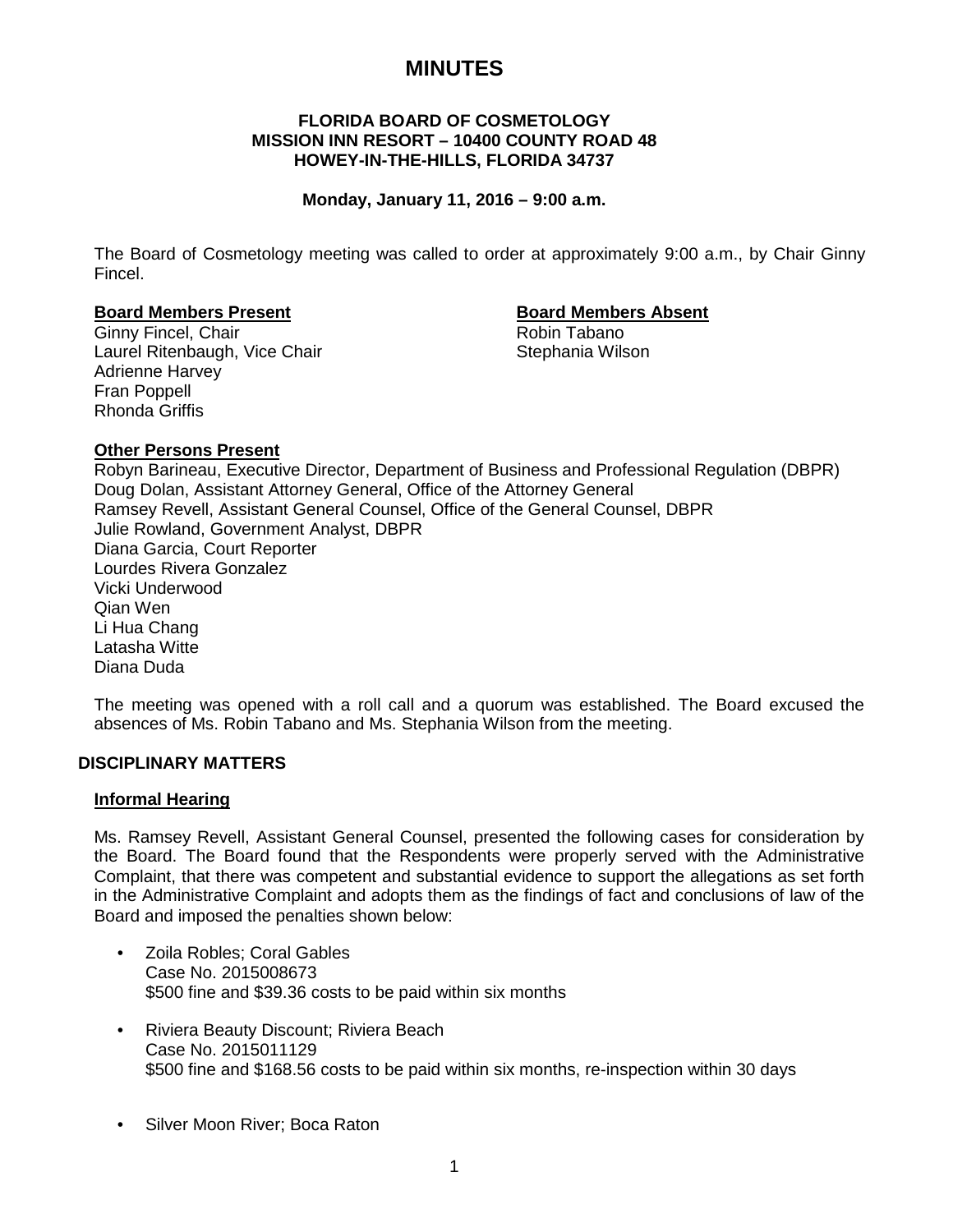# **MINUTES**

# **FLORIDA BOARD OF COSMETOLOGY MISSION INN RESORT – 10400 COUNTY ROAD 48 HOWEY-IN-THE-HILLS, FLORIDA 34737**

# **Monday, January 11, 2016 – 9:00 a.m.**

The Board of Cosmetology meeting was called to order at approximately 9:00 a.m., by Chair Ginny Fincel.

## **Board Members Present Board Members Absent**

Ginny Fincel, Chair **Robin Tabano** Robin Tabano Laurel Ritenbaugh, Vice Chair Stephania Wilson Adrienne Harvey Fran Poppell Rhonda Griffis

# **Other Persons Present**

Robyn Barineau, Executive Director, Department of Business and Professional Regulation (DBPR) Doug Dolan, Assistant Attorney General, Office of the Attorney General Ramsey Revell, Assistant General Counsel, Office of the General Counsel, DBPR Julie Rowland, Government Analyst, DBPR Diana Garcia, Court Reporter Lourdes Rivera Gonzalez Vicki Underwood Qian Wen Li Hua Chang Latasha Witte Diana Duda

The meeting was opened with a roll call and a quorum was established. The Board excused the absences of Ms. Robin Tabano and Ms. Stephania Wilson from the meeting.

# **DISCIPLINARY MATTERS**

## **Informal Hearing**

Ms. Ramsey Revell, Assistant General Counsel, presented the following cases for consideration by the Board. The Board found that the Respondents were properly served with the Administrative Complaint, that there was competent and substantial evidence to support the allegations as set forth in the Administrative Complaint and adopts them as the findings of fact and conclusions of law of the Board and imposed the penalties shown below:

- Zoila Robles; Coral Gables Case No. 2015008673 \$500 fine and \$39.36 costs to be paid within six months
- Riviera Beauty Discount; Riviera Beach Case No. 2015011129 \$500 fine and \$168.56 costs to be paid within six months, re-inspection within 30 days
- Silver Moon River; Boca Raton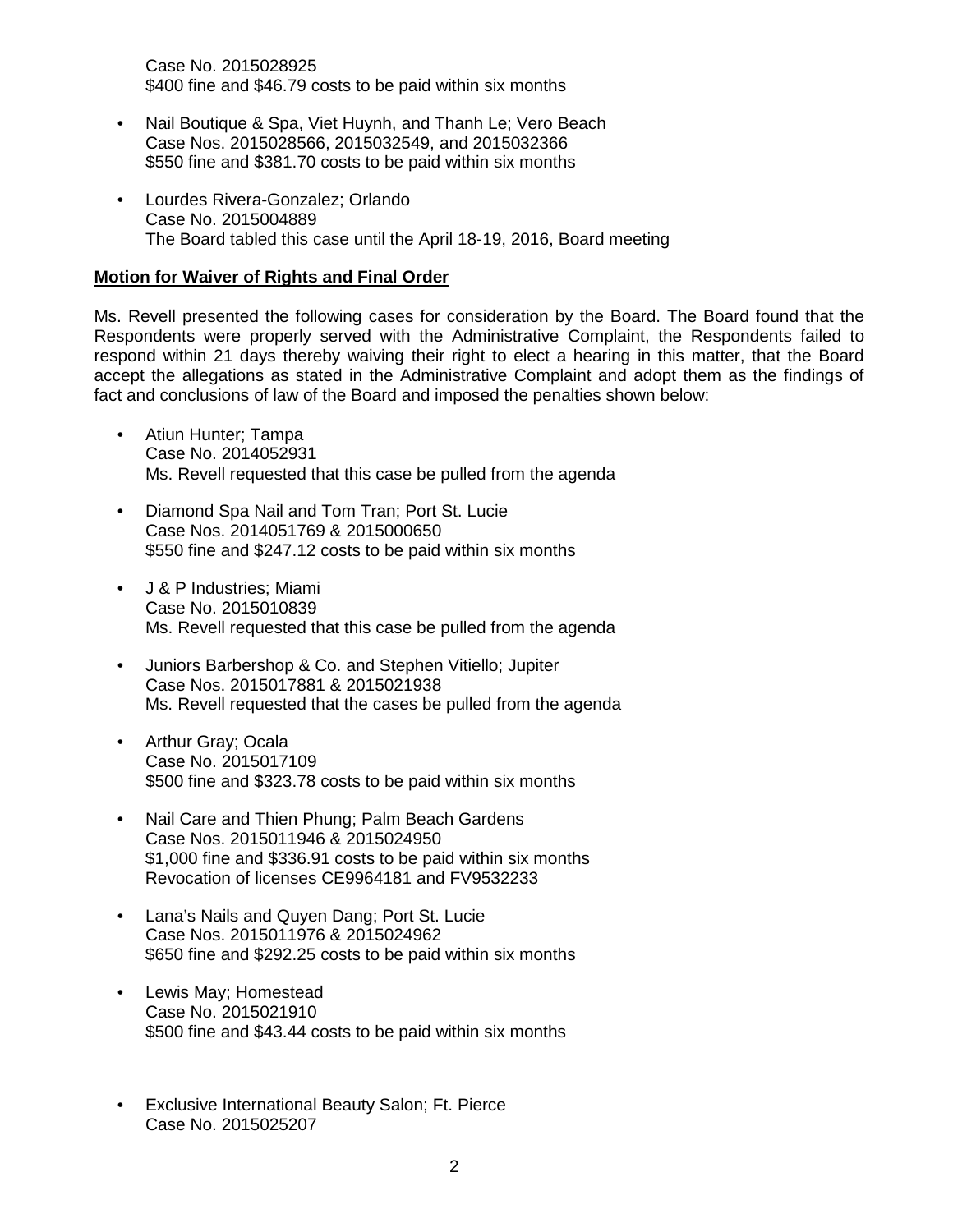Case No. 2015028925 \$400 fine and \$46.79 costs to be paid within six months

- Nail Boutique & Spa, Viet Huynh, and Thanh Le; Vero Beach Case Nos. 2015028566, 2015032549, and 2015032366 \$550 fine and \$381.70 costs to be paid within six months
- Lourdes Rivera-Gonzalez; Orlando Case No. 2015004889 The Board tabled this case until the April 18-19, 2016, Board meeting

# **Motion for Waiver of Rights and Final Order**

Ms. Revell presented the following cases for consideration by the Board. The Board found that the Respondents were properly served with the Administrative Complaint, the Respondents failed to respond within 21 days thereby waiving their right to elect a hearing in this matter, that the Board accept the allegations as stated in the Administrative Complaint and adopt them as the findings of fact and conclusions of law of the Board and imposed the penalties shown below:

- Atiun Hunter; Tampa Case No. 2014052931 Ms. Revell requested that this case be pulled from the agenda
- Diamond Spa Nail and Tom Tran; Port St. Lucie Case Nos. 2014051769 & 2015000650 \$550 fine and \$247.12 costs to be paid within six months
- J & P Industries; Miami Case No. 2015010839 Ms. Revell requested that this case be pulled from the agenda
- Juniors Barbershop & Co. and Stephen Vitiello; Jupiter Case Nos. 2015017881 & 2015021938 Ms. Revell requested that the cases be pulled from the agenda
- Arthur Gray; Ocala Case No. 2015017109 \$500 fine and \$323.78 costs to be paid within six months
- Nail Care and Thien Phung; Palm Beach Gardens Case Nos. 2015011946 & 2015024950 \$1,000 fine and \$336.91 costs to be paid within six months Revocation of licenses CE9964181 and FV9532233
- Lana's Nails and Quyen Dang; Port St. Lucie Case Nos. 2015011976 & 2015024962 \$650 fine and \$292.25 costs to be paid within six months
- Lewis May; Homestead Case No. 2015021910 \$500 fine and \$43.44 costs to be paid within six months
- Exclusive International Beauty Salon; Ft. Pierce Case No. 2015025207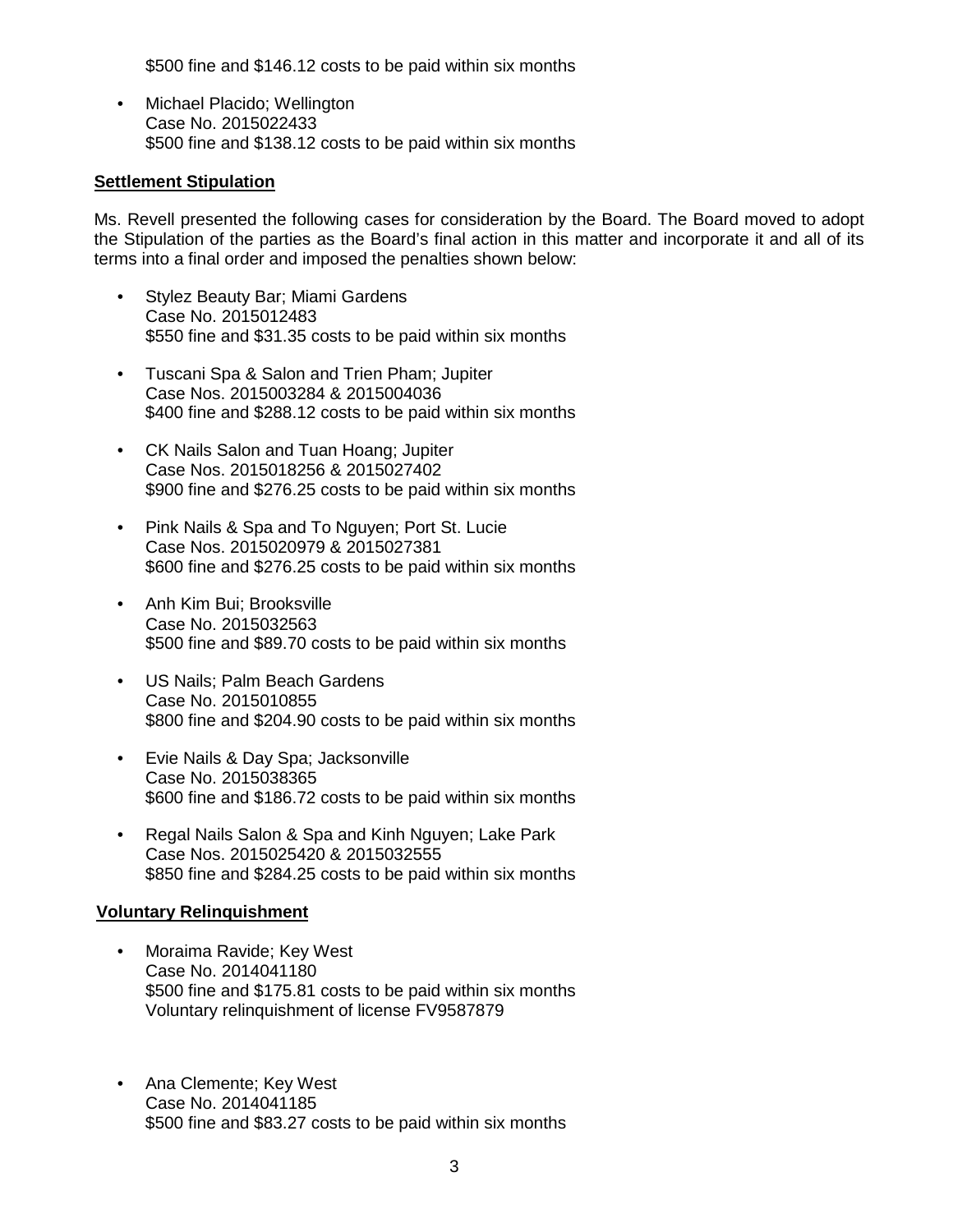\$500 fine and \$146.12 costs to be paid within six months

• Michael Placido; Wellington Case No. 2015022433 \$500 fine and \$138.12 costs to be paid within six months

## **Settlement Stipulation**

Ms. Revell presented the following cases for consideration by the Board. The Board moved to adopt the Stipulation of the parties as the Board's final action in this matter and incorporate it and all of its terms into a final order and imposed the penalties shown below:

- Stylez Beauty Bar; Miami Gardens Case No. 2015012483 \$550 fine and \$31.35 costs to be paid within six months
- Tuscani Spa & Salon and Trien Pham; Jupiter Case Nos. 2015003284 & 2015004036 \$400 fine and \$288.12 costs to be paid within six months
- CK Nails Salon and Tuan Hoang; Jupiter Case Nos. 2015018256 & 2015027402 \$900 fine and \$276.25 costs to be paid within six months
- Pink Nails & Spa and To Nguyen; Port St. Lucie Case Nos. 2015020979 & 2015027381 \$600 fine and \$276.25 costs to be paid within six months
- Anh Kim Bui; Brooksville Case No. 2015032563 \$500 fine and \$89.70 costs to be paid within six months
- US Nails; Palm Beach Gardens Case No. 2015010855 \$800 fine and \$204.90 costs to be paid within six months
- Evie Nails & Day Spa; Jacksonville Case No. 2015038365 \$600 fine and \$186.72 costs to be paid within six months
- Regal Nails Salon & Spa and Kinh Nguyen; Lake Park Case Nos. 2015025420 & 2015032555 \$850 fine and \$284.25 costs to be paid within six months

## **Voluntary Relinquishment**

- Moraima Ravide; Key West Case No. 2014041180 \$500 fine and \$175.81 costs to be paid within six months Voluntary relinquishment of license FV9587879
- Ana Clemente; Key West Case No. 2014041185 \$500 fine and \$83.27 costs to be paid within six months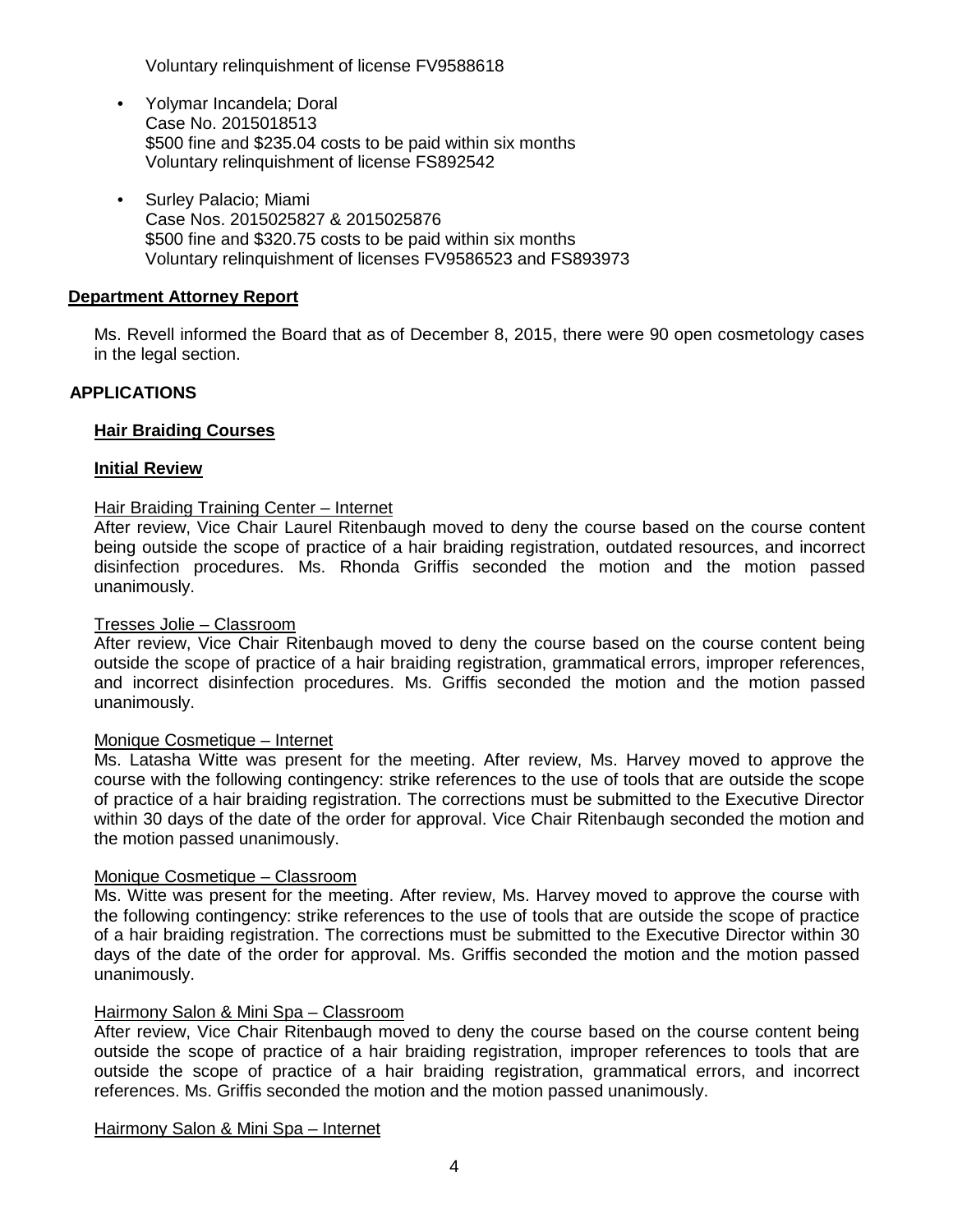Voluntary relinquishment of license FV9588618

- Yolymar Incandela; Doral Case No. 2015018513 \$500 fine and \$235.04 costs to be paid within six months Voluntary relinquishment of license FS892542
- Surley Palacio; Miami Case Nos. 2015025827 & 2015025876 \$500 fine and \$320.75 costs to be paid within six months Voluntary relinquishment of licenses FV9586523 and FS893973

## **Department Attorney Report**

Ms. Revell informed the Board that as of December 8, 2015, there were 90 open cosmetology cases in the legal section.

# **APPLICATIONS**

## **Hair Braiding Courses**

## **Initial Review**

## Hair Braiding Training Center – Internet

After review, Vice Chair Laurel Ritenbaugh moved to deny the course based on the course content being outside the scope of practice of a hair braiding registration, outdated resources, and incorrect disinfection procedures. Ms. Rhonda Griffis seconded the motion and the motion passed unanimously.

## Tresses Jolie – Classroom

After review, Vice Chair Ritenbaugh moved to deny the course based on the course content being outside the scope of practice of a hair braiding registration, grammatical errors, improper references, and incorrect disinfection procedures. Ms. Griffis seconded the motion and the motion passed unanimously.

## Monique Cosmetique – Internet

Ms. Latasha Witte was present for the meeting. After review, Ms. Harvey moved to approve the course with the following contingency: strike references to the use of tools that are outside the scope of practice of a hair braiding registration. The corrections must be submitted to the Executive Director within 30 days of the date of the order for approval. Vice Chair Ritenbaugh seconded the motion and the motion passed unanimously.

## Monique Cosmetique – Classroom

Ms. Witte was present for the meeting. After review, Ms. Harvey moved to approve the course with the following contingency: strike references to the use of tools that are outside the scope of practice of a hair braiding registration. The corrections must be submitted to the Executive Director within 30 days of the date of the order for approval. Ms. Griffis seconded the motion and the motion passed unanimously.

## Hairmony Salon & Mini Spa – Classroom

After review, Vice Chair Ritenbaugh moved to deny the course based on the course content being outside the scope of practice of a hair braiding registration, improper references to tools that are outside the scope of practice of a hair braiding registration, grammatical errors, and incorrect references. Ms. Griffis seconded the motion and the motion passed unanimously.

### Hairmony Salon & Mini Spa – Internet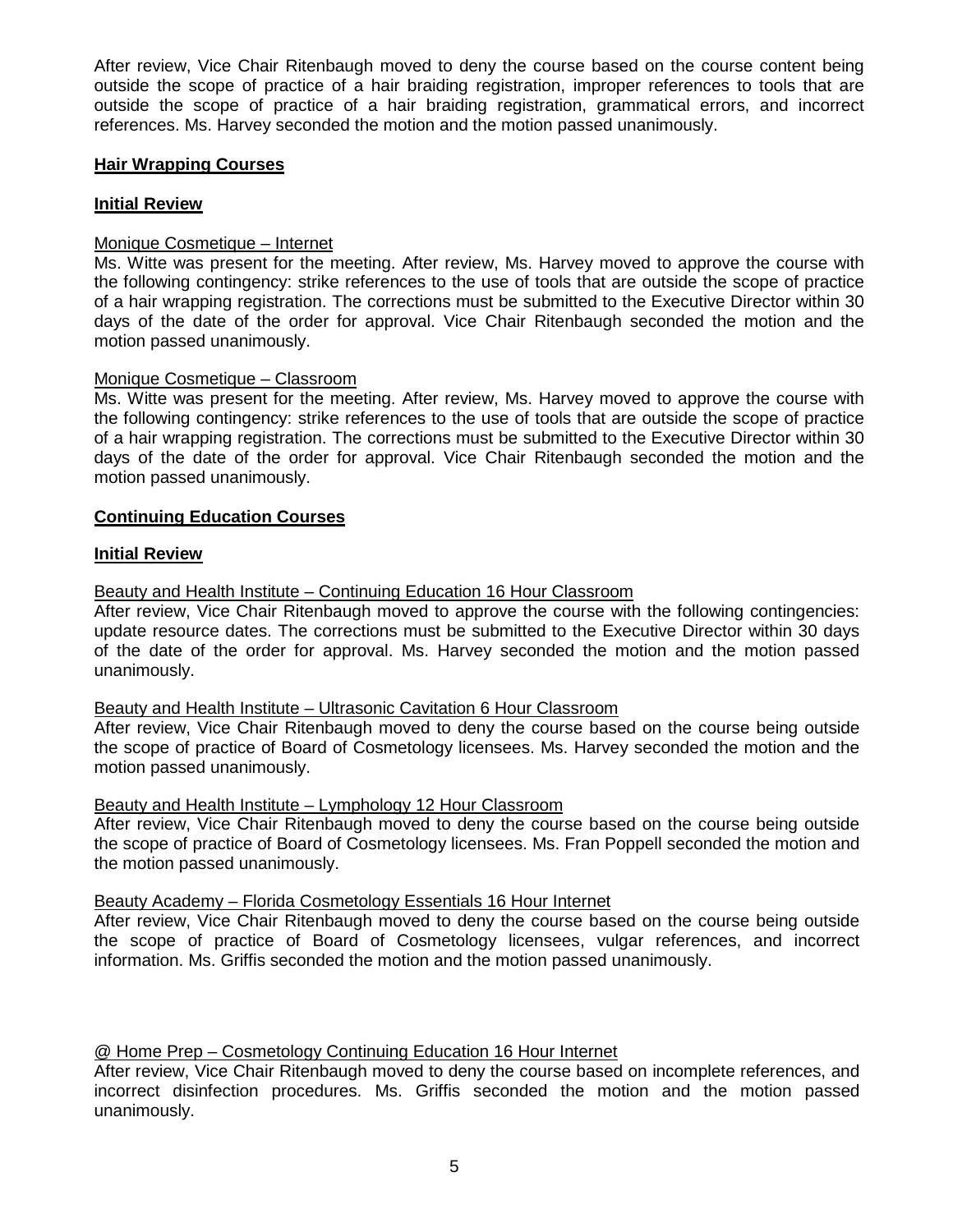After review, Vice Chair Ritenbaugh moved to deny the course based on the course content being outside the scope of practice of a hair braiding registration, improper references to tools that are outside the scope of practice of a hair braiding registration, grammatical errors, and incorrect references. Ms. Harvey seconded the motion and the motion passed unanimously.

# **Hair Wrapping Courses**

# **Initial Review**

# Monique Cosmetique – Internet

Ms. Witte was present for the meeting. After review, Ms. Harvey moved to approve the course with the following contingency: strike references to the use of tools that are outside the scope of practice of a hair wrapping registration. The corrections must be submitted to the Executive Director within 30 days of the date of the order for approval. Vice Chair Ritenbaugh seconded the motion and the motion passed unanimously.

# Monique Cosmetique – Classroom

Ms. Witte was present for the meeting. After review, Ms. Harvey moved to approve the course with the following contingency: strike references to the use of tools that are outside the scope of practice of a hair wrapping registration. The corrections must be submitted to the Executive Director within 30 days of the date of the order for approval. Vice Chair Ritenbaugh seconded the motion and the motion passed unanimously.

# **Continuing Education Courses**

## **Initial Review**

# Beauty and Health Institute – Continuing Education 16 Hour Classroom

After review, Vice Chair Ritenbaugh moved to approve the course with the following contingencies: update resource dates. The corrections must be submitted to the Executive Director within 30 days of the date of the order for approval. Ms. Harvey seconded the motion and the motion passed unanimously.

## Beauty and Health Institute – Ultrasonic Cavitation 6 Hour Classroom

After review, Vice Chair Ritenbaugh moved to deny the course based on the course being outside the scope of practice of Board of Cosmetology licensees. Ms. Harvey seconded the motion and the motion passed unanimously.

## Beauty and Health Institute – Lymphology 12 Hour Classroom

After review, Vice Chair Ritenbaugh moved to deny the course based on the course being outside the scope of practice of Board of Cosmetology licensees. Ms. Fran Poppell seconded the motion and the motion passed unanimously.

## Beauty Academy – Florida Cosmetology Essentials 16 Hour Internet

After review, Vice Chair Ritenbaugh moved to deny the course based on the course being outside the scope of practice of Board of Cosmetology licensees, vulgar references, and incorrect information. Ms. Griffis seconded the motion and the motion passed unanimously.

# @ Home Prep – Cosmetology Continuing Education 16 Hour Internet

After review, Vice Chair Ritenbaugh moved to deny the course based on incomplete references, and incorrect disinfection procedures. Ms. Griffis seconded the motion and the motion passed unanimously.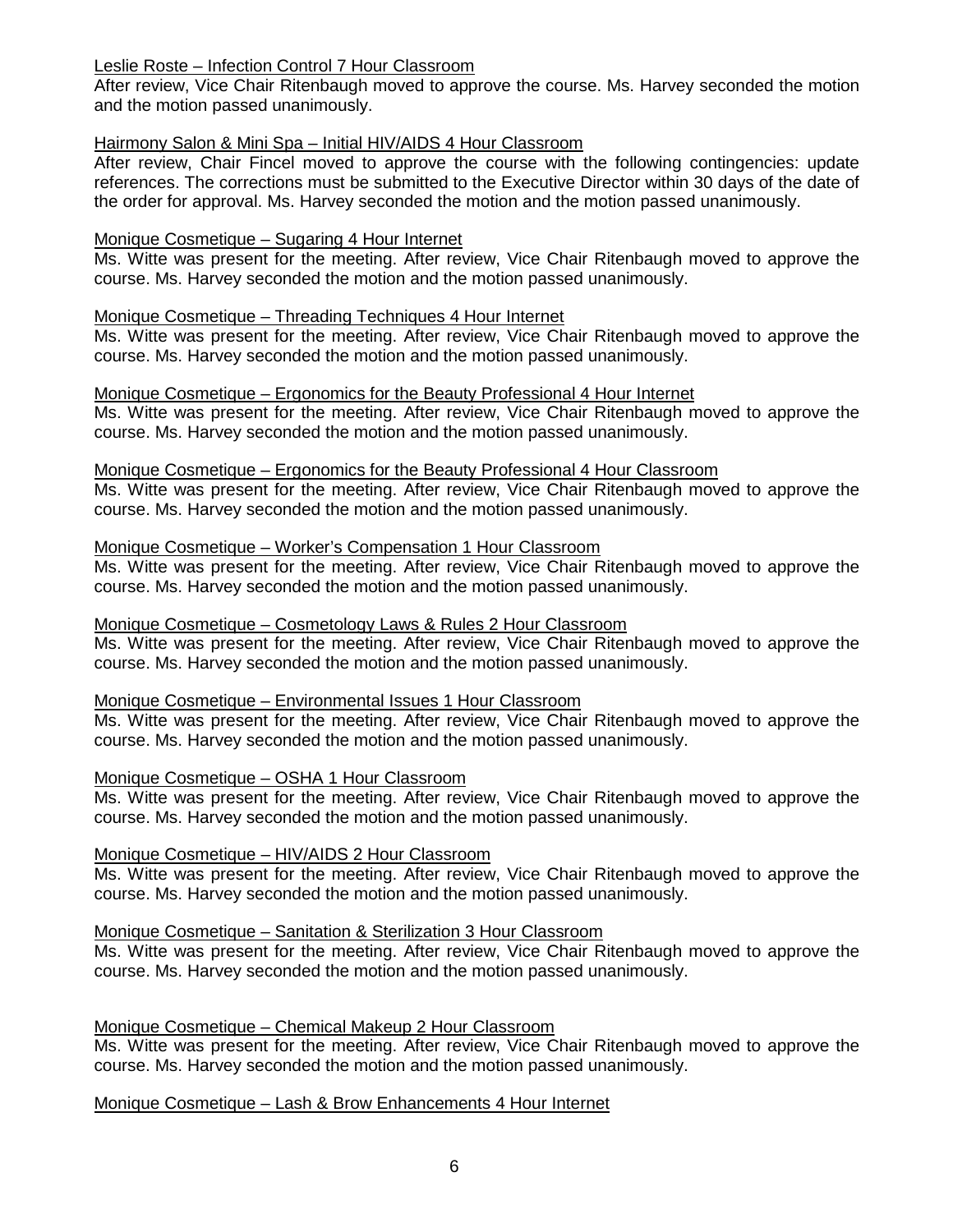## Leslie Roste – Infection Control 7 Hour Classroom

After review, Vice Chair Ritenbaugh moved to approve the course. Ms. Harvey seconded the motion and the motion passed unanimously.

## Hairmony Salon & Mini Spa – Initial HIV/AIDS 4 Hour Classroom

After review, Chair Fincel moved to approve the course with the following contingencies: update references. The corrections must be submitted to the Executive Director within 30 days of the date of the order for approval. Ms. Harvey seconded the motion and the motion passed unanimously.

## Monique Cosmetique – Sugaring 4 Hour Internet

Ms. Witte was present for the meeting. After review, Vice Chair Ritenbaugh moved to approve the course. Ms. Harvey seconded the motion and the motion passed unanimously.

# Monique Cosmetique – Threading Techniques 4 Hour Internet

Ms. Witte was present for the meeting. After review, Vice Chair Ritenbaugh moved to approve the course. Ms. Harvey seconded the motion and the motion passed unanimously.

# Monique Cosmetique – Ergonomics for the Beauty Professional 4 Hour Internet

Ms. Witte was present for the meeting. After review, Vice Chair Ritenbaugh moved to approve the course. Ms. Harvey seconded the motion and the motion passed unanimously.

## Monique Cosmetique – Ergonomics for the Beauty Professional 4 Hour Classroom

Ms. Witte was present for the meeting. After review, Vice Chair Ritenbaugh moved to approve the course. Ms. Harvey seconded the motion and the motion passed unanimously.

# Monique Cosmetique – Worker's Compensation 1 Hour Classroom

Ms. Witte was present for the meeting. After review, Vice Chair Ritenbaugh moved to approve the course. Ms. Harvey seconded the motion and the motion passed unanimously.

## Monique Cosmetique – Cosmetology Laws & Rules 2 Hour Classroom

Ms. Witte was present for the meeting. After review, Vice Chair Ritenbaugh moved to approve the course. Ms. Harvey seconded the motion and the motion passed unanimously.

## Monique Cosmetique – Environmental Issues 1 Hour Classroom

Ms. Witte was present for the meeting. After review, Vice Chair Ritenbaugh moved to approve the course. Ms. Harvey seconded the motion and the motion passed unanimously.

## Monique Cosmetique – OSHA 1 Hour Classroom

Ms. Witte was present for the meeting. After review, Vice Chair Ritenbaugh moved to approve the course. Ms. Harvey seconded the motion and the motion passed unanimously.

## Monique Cosmetique – HIV/AIDS 2 Hour Classroom

Ms. Witte was present for the meeting. After review, Vice Chair Ritenbaugh moved to approve the course. Ms. Harvey seconded the motion and the motion passed unanimously.

# Monique Cosmetique – Sanitation & Sterilization 3 Hour Classroom

Ms. Witte was present for the meeting. After review, Vice Chair Ritenbaugh moved to approve the course. Ms. Harvey seconded the motion and the motion passed unanimously.

## Monique Cosmetique – Chemical Makeup 2 Hour Classroom

Ms. Witte was present for the meeting. After review, Vice Chair Ritenbaugh moved to approve the course. Ms. Harvey seconded the motion and the motion passed unanimously.

Monique Cosmetique – Lash & Brow Enhancements 4 Hour Internet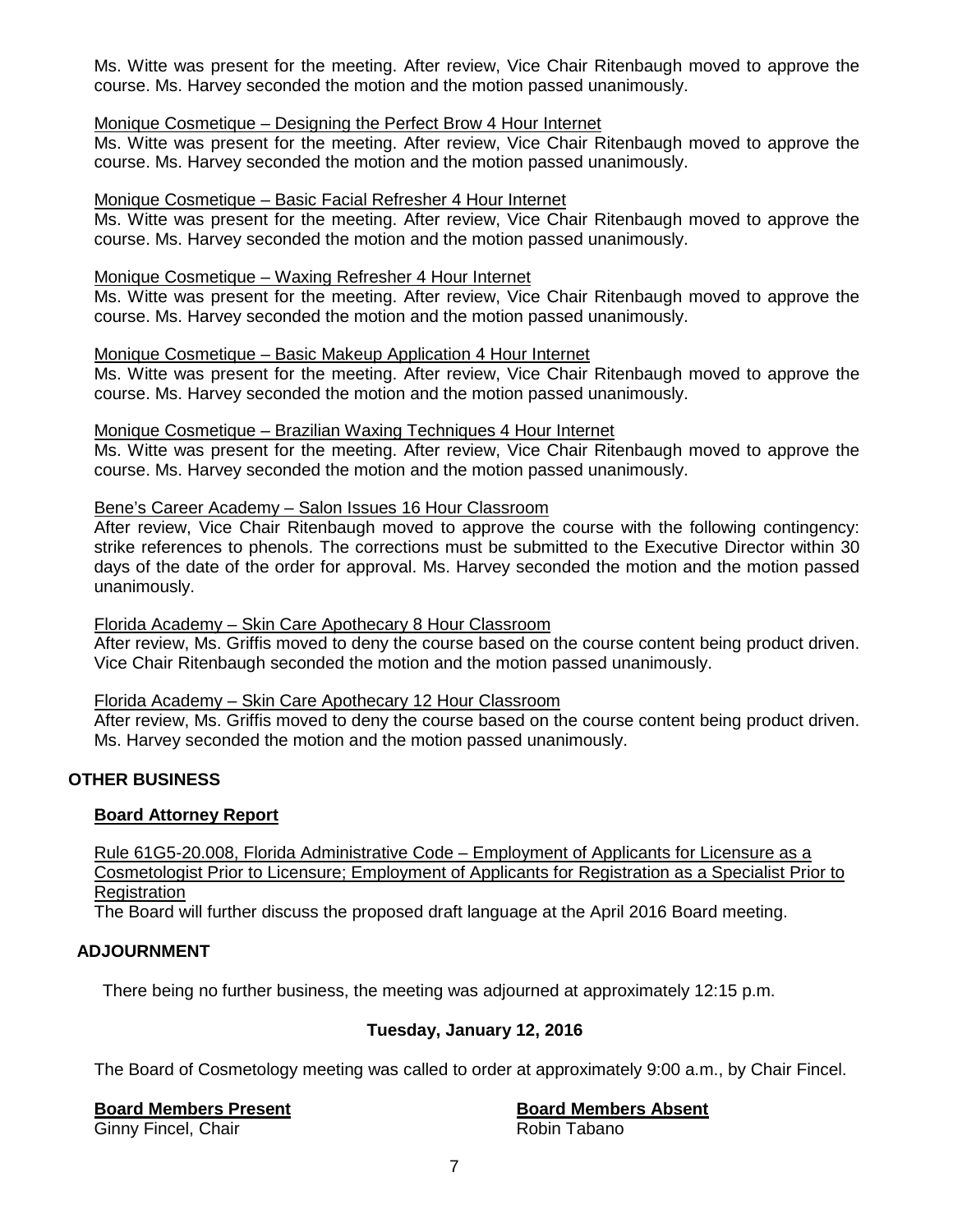Ms. Witte was present for the meeting. After review, Vice Chair Ritenbaugh moved to approve the course. Ms. Harvey seconded the motion and the motion passed unanimously.

# Monique Cosmetique – Designing the Perfect Brow 4 Hour Internet

Ms. Witte was present for the meeting. After review, Vice Chair Ritenbaugh moved to approve the course. Ms. Harvey seconded the motion and the motion passed unanimously.

## Monique Cosmetique – Basic Facial Refresher 4 Hour Internet

Ms. Witte was present for the meeting. After review, Vice Chair Ritenbaugh moved to approve the course. Ms. Harvey seconded the motion and the motion passed unanimously.

## Monique Cosmetique – Waxing Refresher 4 Hour Internet

Ms. Witte was present for the meeting. After review, Vice Chair Ritenbaugh moved to approve the course. Ms. Harvey seconded the motion and the motion passed unanimously.

# Monique Cosmetique – Basic Makeup Application 4 Hour Internet

Ms. Witte was present for the meeting. After review, Vice Chair Ritenbaugh moved to approve the course. Ms. Harvey seconded the motion and the motion passed unanimously.

## Monique Cosmetique – Brazilian Waxing Techniques 4 Hour Internet

Ms. Witte was present for the meeting. After review, Vice Chair Ritenbaugh moved to approve the course. Ms. Harvey seconded the motion and the motion passed unanimously.

# Bene's Career Academy – Salon Issues 16 Hour Classroom

After review, Vice Chair Ritenbaugh moved to approve the course with the following contingency: strike references to phenols. The corrections must be submitted to the Executive Director within 30 days of the date of the order for approval. Ms. Harvey seconded the motion and the motion passed unanimously.

## Florida Academy – Skin Care Apothecary 8 Hour Classroom

After review, Ms. Griffis moved to deny the course based on the course content being product driven. Vice Chair Ritenbaugh seconded the motion and the motion passed unanimously.

## Florida Academy – Skin Care Apothecary 12 Hour Classroom

After review, Ms. Griffis moved to deny the course based on the course content being product driven. Ms. Harvey seconded the motion and the motion passed unanimously.

# **OTHER BUSINESS**

## **Board Attorney Report**

Rule 61G5-20.008, Florida Administrative Code – Employment of Applicants for Licensure as a Cosmetologist Prior to Licensure; Employment of Applicants for Registration as a Specialist Prior to **Registration** 

The Board will further discuss the proposed draft language at the April 2016 Board meeting.

# **ADJOURNMENT**

There being no further business, the meeting was adjourned at approximately 12:15 p.m.

# **Tuesday, January 12, 2016**

The Board of Cosmetology meeting was called to order at approximately 9:00 a.m., by Chair Fincel.

**Board Members Present Board Members Absent** Ginny Fincel, Chair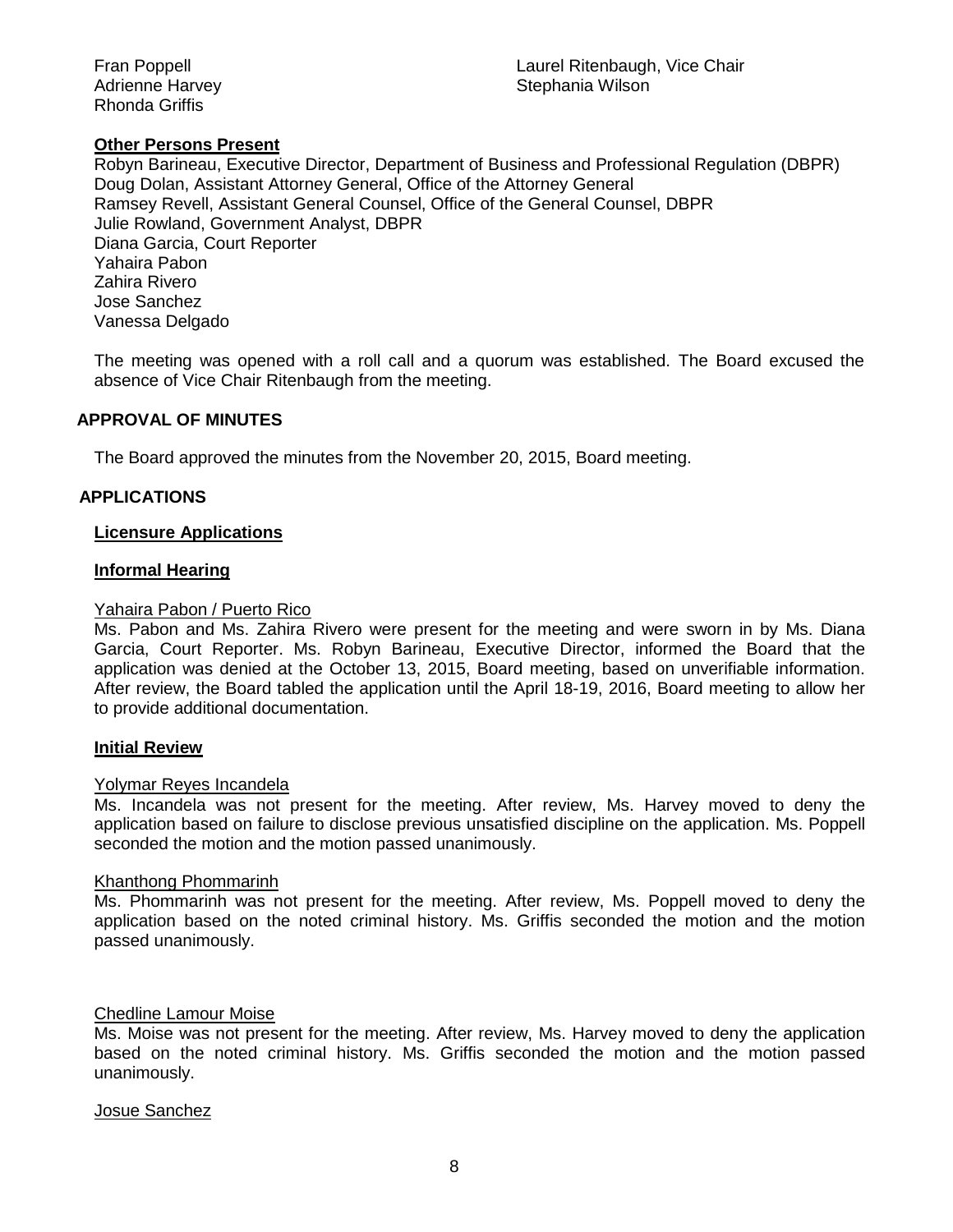Rhonda Griffis

# **Other Persons Present**

Robyn Barineau, Executive Director, Department of Business and Professional Regulation (DBPR) Doug Dolan, Assistant Attorney General, Office of the Attorney General Ramsey Revell, Assistant General Counsel, Office of the General Counsel, DBPR Julie Rowland, Government Analyst, DBPR Diana Garcia, Court Reporter Yahaira Pabon Zahira Rivero Jose Sanchez Vanessa Delgado

The meeting was opened with a roll call and a quorum was established. The Board excused the absence of Vice Chair Ritenbaugh from the meeting.

# **APPROVAL OF MINUTES**

The Board approved the minutes from the November 20, 2015, Board meeting.

# **APPLICATIONS**

## **Licensure Applications**

## **Informal Hearing**

## Yahaira Pabon / Puerto Rico

Ms. Pabon and Ms. Zahira Rivero were present for the meeting and were sworn in by Ms. Diana Garcia, Court Reporter. Ms. Robyn Barineau, Executive Director, informed the Board that the application was denied at the October 13, 2015, Board meeting, based on unverifiable information. After review, the Board tabled the application until the April 18-19, 2016, Board meeting to allow her to provide additional documentation.

## **Initial Review**

### Yolymar Reyes Incandela

Ms. Incandela was not present for the meeting. After review, Ms. Harvey moved to deny the application based on failure to disclose previous unsatisfied discipline on the application. Ms. Poppell seconded the motion and the motion passed unanimously.

## Khanthong Phommarinh

Ms. Phommarinh was not present for the meeting. After review, Ms. Poppell moved to deny the application based on the noted criminal history. Ms. Griffis seconded the motion and the motion passed unanimously.

## Chedline Lamour Moise

Ms. Moise was not present for the meeting. After review, Ms. Harvey moved to deny the application based on the noted criminal history. Ms. Griffis seconded the motion and the motion passed unanimously.

## Josue Sanchez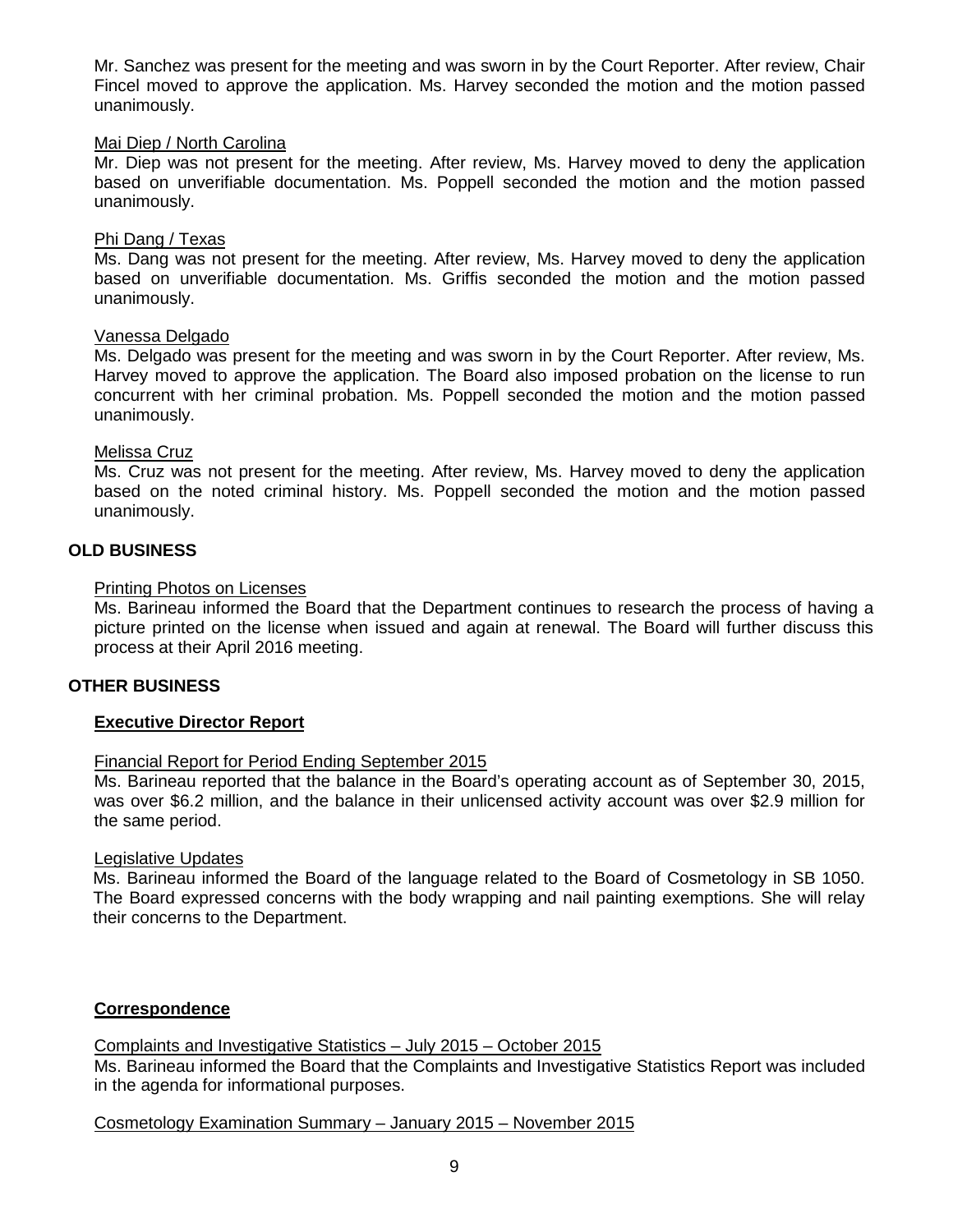Mr. Sanchez was present for the meeting and was sworn in by the Court Reporter. After review, Chair Fincel moved to approve the application. Ms. Harvey seconded the motion and the motion passed unanimously.

## Mai Diep / North Carolina

Mr. Diep was not present for the meeting. After review, Ms. Harvey moved to deny the application based on unverifiable documentation. Ms. Poppell seconded the motion and the motion passed unanimously.

## Phi Dang / Texas

Ms. Dang was not present for the meeting. After review, Ms. Harvey moved to deny the application based on unverifiable documentation. Ms. Griffis seconded the motion and the motion passed unanimously.

## Vanessa Delgado

Ms. Delgado was present for the meeting and was sworn in by the Court Reporter. After review, Ms. Harvey moved to approve the application. The Board also imposed probation on the license to run concurrent with her criminal probation. Ms. Poppell seconded the motion and the motion passed unanimously.

## Melissa Cruz

Ms. Cruz was not present for the meeting. After review, Ms. Harvey moved to deny the application based on the noted criminal history. Ms. Poppell seconded the motion and the motion passed unanimously.

## **OLD BUSINESS**

## Printing Photos on Licenses

Ms. Barineau informed the Board that the Department continues to research the process of having a picture printed on the license when issued and again at renewal. The Board will further discuss this process at their April 2016 meeting.

## **OTHER BUSINESS**

## **Executive Director Report**

## Financial Report for Period Ending September 2015

Ms. Barineau reported that the balance in the Board's operating account as of September 30, 2015, was over \$6.2 million, and the balance in their unlicensed activity account was over \$2.9 million for the same period.

### Legislative Updates

Ms. Barineau informed the Board of the language related to the Board of Cosmetology in SB 1050. The Board expressed concerns with the body wrapping and nail painting exemptions. She will relay their concerns to the Department.

## **Correspondence**

Complaints and Investigative Statistics – July 2015 – October 2015 Ms. Barineau informed the Board that the Complaints and Investigative Statistics Report was included in the agenda for informational purposes.

# Cosmetology Examination Summary – January 2015 – November 2015